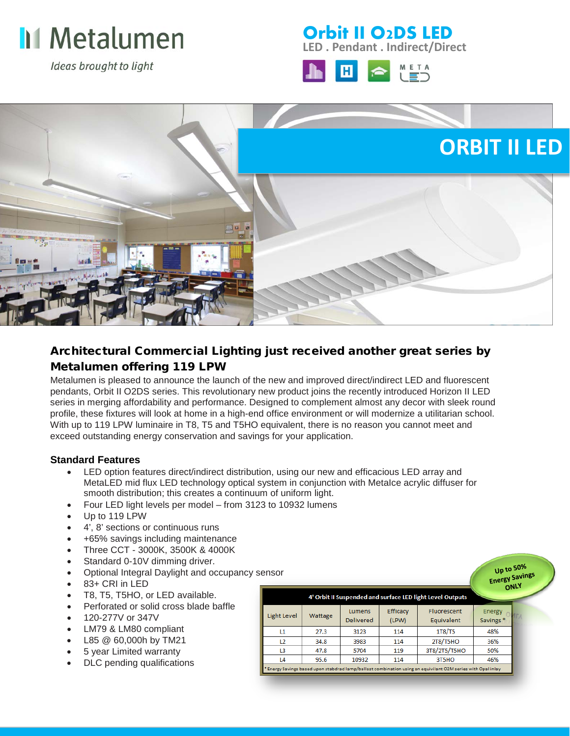

Ideas brought to light

### **LED . Pendant . Indirect/Direct Orbit II O2DS LED**





## Architectural Commercial Lighting just received another great series by Metalumen offering 119 LPW

Metalumen is pleased to announce the launch of the new and improved direct/indirect LED and fluorescent pendants, Orbit II O2DS series. This revolutionary new product joins the recently introduced Horizon II LED series in merging affordability and performance. Designed to complement almost any decor with sleek round profile, these fixtures will look at home in a high-end office environment or will modernize a utilitarian school. With up to 119 LPW luminaire in T8, T5 and T5HO equivalent, there is no reason you cannot meet and exceed outstanding energy conservation and savings for your application.

#### **Standard Features**

- LED option features direct/indirect distribution, using our new and efficacious LED array and MetaLED mid flux LED technology optical system in conjunction with MetaIce acrylic diffuser for smooth distribution; this creates a continuum of uniform light.
- Four LED light levels per model from 3123 to 10932 lumens
- Up to 119 LPW
- 4', 8' sections or continuous runs
- +65% savings including maintenance
- Three CCT 3000K, 3500K & 4000K
- Standard 0-10V dimming driver.
- Optional Integral Daylight and occupancy sensor
- 83+ CRI in LED
- T8, T5, T5HO, or LED available.
- Perforated or solid cross blade baffle
- 120-277V or 347V
- LM79 & LM80 compliant
- L85 @ 60,000h by TM21
- 5 year Limited warranty
- DLC pending qualifications

| 4' Orbit II Suspended and surface LED light Level Outputs |         |                            |                   |                                                                                                              | $\cdots$                       |  |
|-----------------------------------------------------------|---------|----------------------------|-------------------|--------------------------------------------------------------------------------------------------------------|--------------------------------|--|
| <b>Light Level</b>                                        | Wattage | Lumens<br><b>Delivered</b> | Efficacy<br>(LPW) | Fluorescent<br>Equivalent                                                                                    | Energy<br>Savings <sup>*</sup> |  |
| L1                                                        | 27.3    | 3123                       | 114               | 1T8/T5                                                                                                       | 48%                            |  |
| L <sub>2</sub>                                            | 34.8    | 3983                       | 114               | 2T8/T5HO                                                                                                     | 36%                            |  |
| L3                                                        | 47.8    | 5704                       | 119               | 3T8/2T5/T5HO                                                                                                 | 50%                            |  |
| L4                                                        | 95.6    | 10932                      | 114               | 3T5HO                                                                                                        | 46%                            |  |
|                                                           |         |                            |                   | * Energy Savings based upon stabdrad lamp/ballast combination using an equivilant O2M series with Opal inlay |                                |  |

Up to 50% Up to 30%<br>Energy Savings